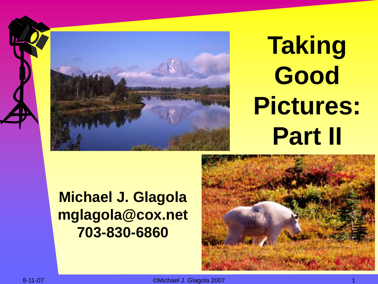



## **Taking Good Pictures: Part II**



**Michael J. Glagola mglagola@cox.net 703-830-6860**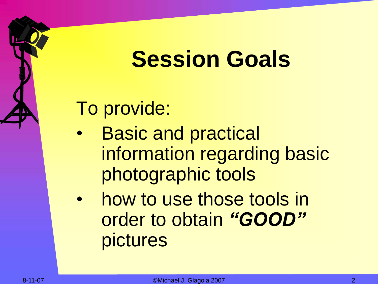### **Session Goals**

To provide:

- **Basic and practical** information regarding basic photographic tools
- how to use those tools in order to obtain *"GOOD"*  pictures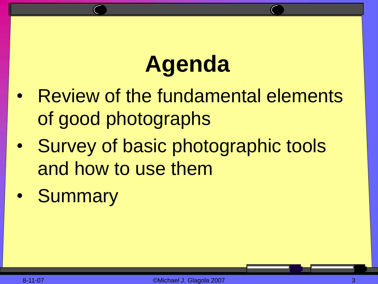## **Agenda**

- Review of the fundamental elements of good photographs
- Survey of basic photographic tools and how to use them
- Summary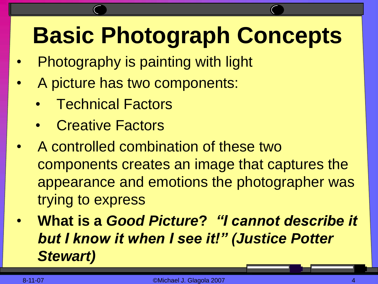### **Basic Photograph Concepts**

- Photography is painting with light
- A picture has two components:
	- Technical Factors
	- Creative Factors
- A controlled combination of these two components creates an image that captures the appearance and emotions the photographer was trying to express
- **What is a** *Good Picture***?** *"I cannot describe it but I know it when I see it!" (Justice Potter Stewart)*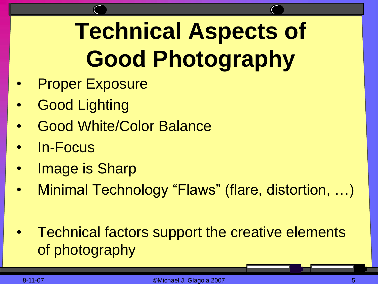### **Technical Aspects of Good Photography**

- **Proper Exposure**
- **Good Lighting**
- Good White/Color Balance
- In-Focus
- Image is Sharp
- Minimal Technology "Flaws" (flare, distortion, ...)
- Technical factors support the creative elements of photography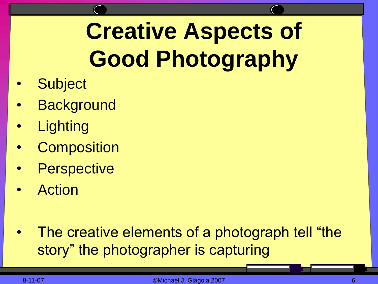## **Creative Aspects of Good Photography**

- **Subject**
- **Background**
- **Lighting**
- **Composition**
- **Perspective**
- **Action**

The creative elements of a photograph tell "the story" the photographer is capturing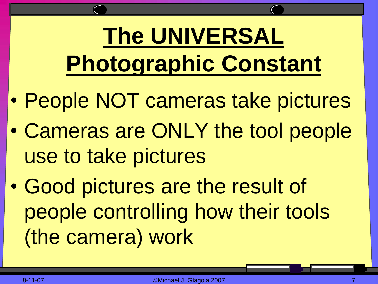## **The UNIVERSAL Photographic Constant**

- People NOT cameras take pictures
- Cameras are ONLY the tool people use to take pictures
- Good pictures are the result of people controlling how their tools (the camera) work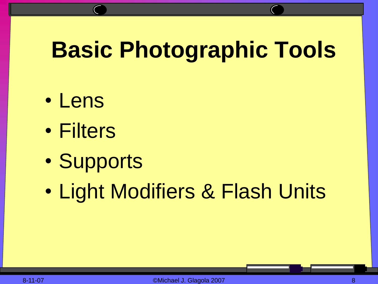### **Basic Photographic Tools**

- Lens
- Filters
- Supports
- Light Modifiers & Flash Units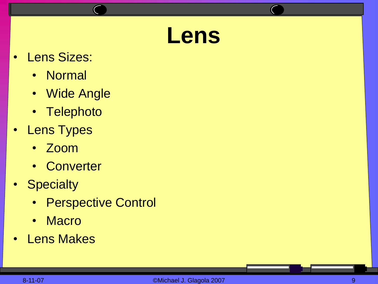### **Lens**

- Lens Sizes:
	- Normal
	- Wide Angle
	- Telephoto
- Lens Types
	- Zoom
	- Converter
- Specialty
	- Perspective Control
	- Macro
- Lens Makes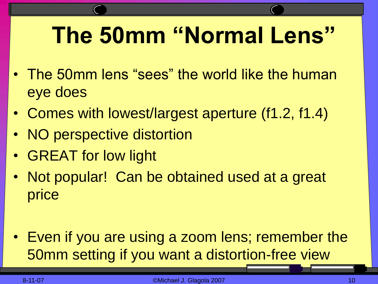### **The 50mm "Normal Lens"**

- The 50mm lens "sees" the world like the human eye does
- Comes with lowest/largest aperture (f1.2, f1.4)
- NO perspective distortion
- GREAT for low light
- Not popular! Can be obtained used at a great price
- Even if you are using a zoom lens; remember the 50mm setting if you want a distortion-free view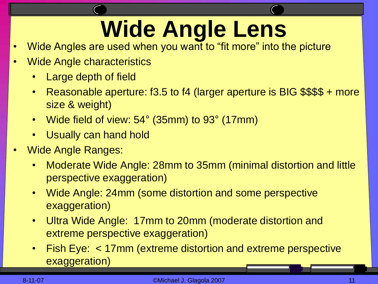## **Wide Angle Lens**

- Wide Angles are used when you want to "fit more" into the picture
- Wide Angle characteristics
	- Large depth of field
	- Reasonable aperture: f3.5 to f4 (larger aperture is BIG \$\$\$\$ + more size & weight)
	- Wide field of view: 54° (35mm) to 93° (17mm)
	- Usually can hand hold
- Wide Angle Ranges:
	- Moderate Wide Angle: 28mm to 35mm (minimal distortion and little perspective exaggeration)
	- Wide Angle: 24mm (some distortion and some perspective exaggeration)
	- Ultra Wide Angle: 17mm to 20mm (moderate distortion and extreme perspective exaggeration)
	- Fish Eye: < 17mm (extreme distortion and extreme perspective exaggeration)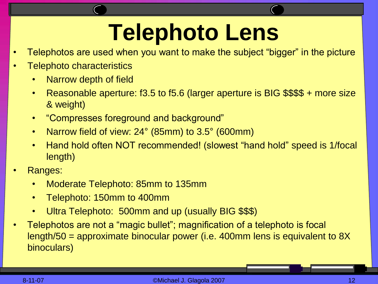### **Telephoto Lens**

- Telephotos are used when you want to make the subject "bigger" in the picture
- Telephoto characteristics
	- Narrow depth of field
	- Reasonable aperture: f3.5 to f5.6 (larger aperture is BIG \$\$\$\$ + more size & weight)
	- "Compresses foreground and background"
	- Narrow field of view: 24° (85mm) to 3.5° (600mm)
	- Hand hold often NOT recommended! (slowest "hand hold" speed is 1/focal length)
- Ranges:
	- Moderate Telephoto: 85mm to 135mm
	- Telephoto: 150mm to 400mm
	- Ultra Telephoto: 500mm and up (usually BIG \$\$\$)
- Telephotos are not a "magic bullet"; magnification of a telephoto is focal length/50 = approximate binocular power (i.e. 400mm lens is equivalent to 8X binoculars)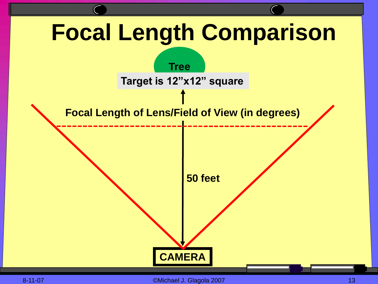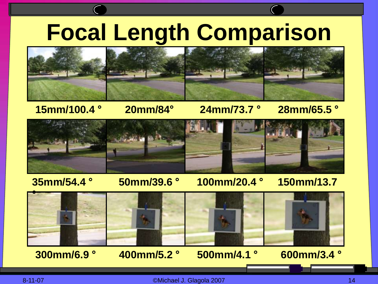### **Focal Length Comparison**



**15mm/100.4 ° 20mm/84° 24mm/73.7 ° 28mm/65.5 °**



### **35mm/54.4 ° 50mm/39.6 ° 100mm/20.4 ° 150mm/13.7**



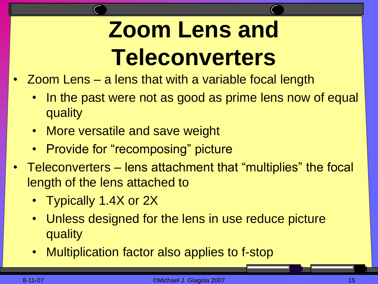### **Zoom Lens and Teleconverters**

- Zoom Lens a lens that with a variable focal length
	- In the past were not as good as prime lens now of equal quality
	- More versatile and save weight
	- Provide for "recomposing" picture
- Teleconverters lens attachment that "multiplies" the focal length of the lens attached to
	- Typically 1.4X or 2X
	- Unless designed for the lens in use reduce picture quality
	- Multiplication factor also applies to f-stop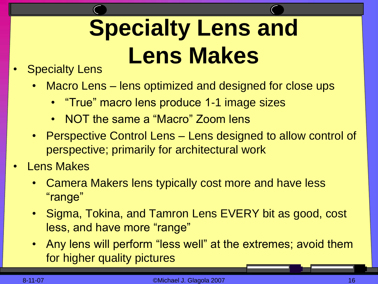## **Specialty Lens and Lens Makes**

### **Specialty Lens**

- Macro Lens lens optimized and designed for close ups
	- "True" macro lens produce 1-1 image sizes
	- NOT the same a "Macro" Zoom lens
- Perspective Control Lens Lens designed to allow control of perspective; primarily for architectural work
- **Lens Makes** 
	- Camera Makers lens typically cost more and have less "range"
	- Sigma, Tokina, and Tamron Lens EVERY bit as good, cost less, and have more "range"
	- Any lens will perform "less well" at the extremes; avoid them for higher quality pictures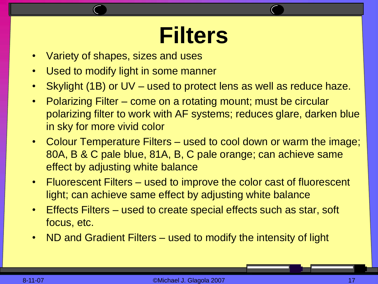### **Filters**

- Variety of shapes, sizes and uses
- Used to modify light in some manner
- Skylight (1B) or UV used to protect lens as well as reduce haze.
- Polarizing Filter come on a rotating mount; must be circular polarizing filter to work with AF systems; reduces glare, darken blue in sky for more vivid color
- Colour Temperature Filters used to cool down or warm the image; 80A, B & C pale blue, 81A, B, C pale orange; can achieve same effect by adjusting white balance
- Fluorescent Filters used to improve the color cast of fluorescent light; can achieve same effect by adjusting white balance
- Effects Filters used to create special effects such as star, soft focus, etc.
- ND and Gradient Filters used to modify the intensity of light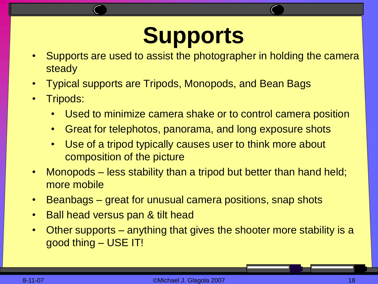### **Supports**

- Supports are used to assist the photographer in holding the camera steady
- Typical supports are Tripods, Monopods, and Bean Bags
- Tripods:
	- Used to minimize camera shake or to control camera position
	- Great for telephotos, panorama, and long exposure shots
	- Use of a tripod typically causes user to think more about composition of the picture
- Monopods less stability than a tripod but better than hand held; more mobile
- Beanbags great for unusual camera positions, snap shots
- Ball head versus pan & tilt head
- Other supports anything that gives the shooter more stability is a good thing – USE IT!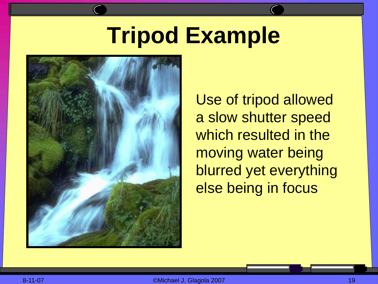### **Tripod Example**



Use of tripod allowed a slow shutter speed which resulted in the moving water being blurred yet everything else being in focus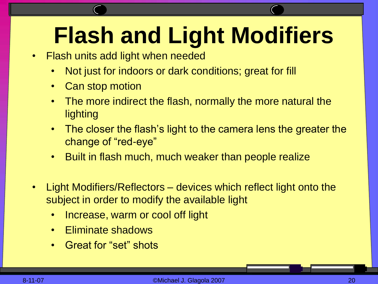### **Flash and Light Modifiers**

- Flash units add light when needed
	- Not just for indoors or dark conditions; great for fill
	- Can stop motion
	- The more indirect the flash, normally the more natural the lighting
	- The closer the flash's light to the camera lens the greater the change of "red-eye"
	- Built in flash much, much weaker than people realize
- Light Modifiers/Reflectors devices which reflect light onto the subject in order to modify the available light
	- Increase, warm or cool off light
	- Eliminate shadows
	- Great for "set" shots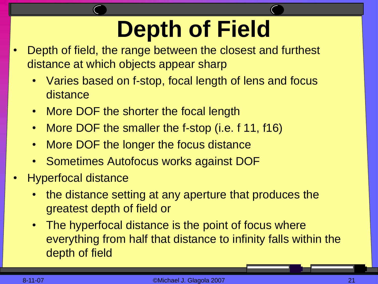### **Depth of Field**

- Depth of field, the range between the closest and furthest distance at which objects appear sharp
	- Varies based on f-stop, focal length of lens and focus distance
	- More DOF the shorter the focal length
	- More DOF the smaller the f-stop (i.e. f 11, f16)
	- More DOF the longer the focus distance
	- Sometimes Autofocus works against DOF
- Hyperfocal distance
	- the distance setting at any aperture that produces the greatest depth of field or
	- The hyperfocal distance is the point of focus where everything from half that distance to infinity falls within the depth of field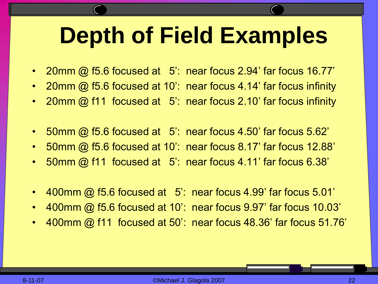### **Depth of Field Examples**

- 20mm @ f5.6 focused at 5': near focus 2.94' far focus 16.77'
- 20mm @ f5.6 focused at 10': near focus 4.14' far focus infinity
- 20mm @ f11 focused at 5': near focus 2.10' far focus infinity
- 50mm @ f5.6 focused at 5': near focus 4.50' far focus 5.62'
- 50mm @ f5.6 focused at 10': near focus 8.17' far focus 12.88'
- 50mm @ f11 focused at 5': near focus 4.11' far focus 6.38'
- 400mm @ f5.6 focused at 5: near focus 4.99' far focus 5.01'
- 400mm @ f5.6 focused at 10': near focus 9.97' far focus 10.03'
- 400mm @ f11 focused at 50': near focus 48.36' far focus 51.76'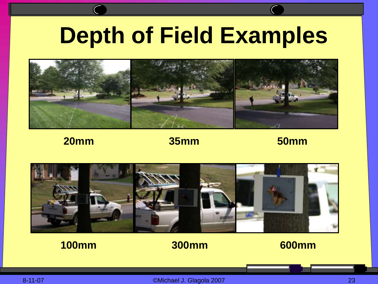### **Depth of Field Examples**



### **20mm 35mm 50mm**



### **100mm 300mm 600mm**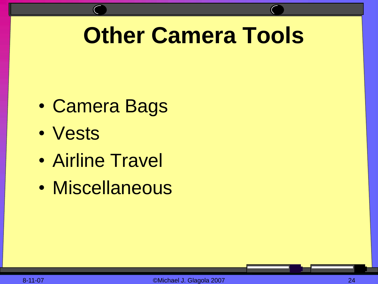### **Other Camera Tools**

- Camera Bags
- Vests
- Airline Travel
- Miscellaneous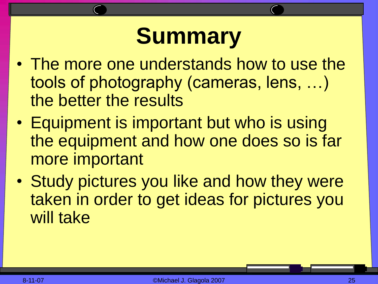### **Summary**

- The more one understands how to use the tools of photography (cameras, lens, …) the better the results
- Equipment is important but who is using the equipment and how one does so is far more important
- Study pictures you like and how they were taken in order to get ideas for pictures you will take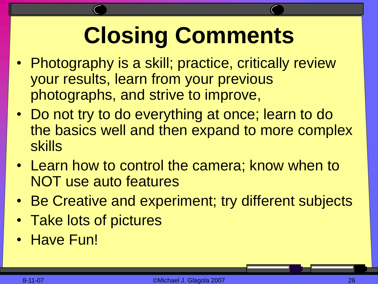## **Closing Comments**

- Photography is a skill; practice, critically review your results, learn from your previous photographs, and strive to improve,
- Do not try to do everything at once; learn to do the basics well and then expand to more complex skills
- Learn how to control the camera; know when to NOT use auto features
- Be Creative and experiment; try different subjects
- Take lots of pictures
- Have Fun!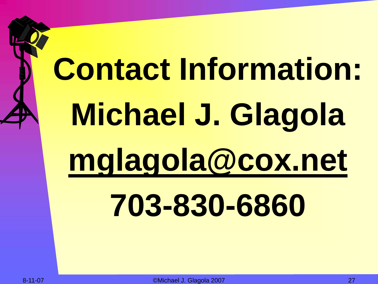# **Contact Information: Michael J. Glagola mglagola@cox.net 703-830-6860**